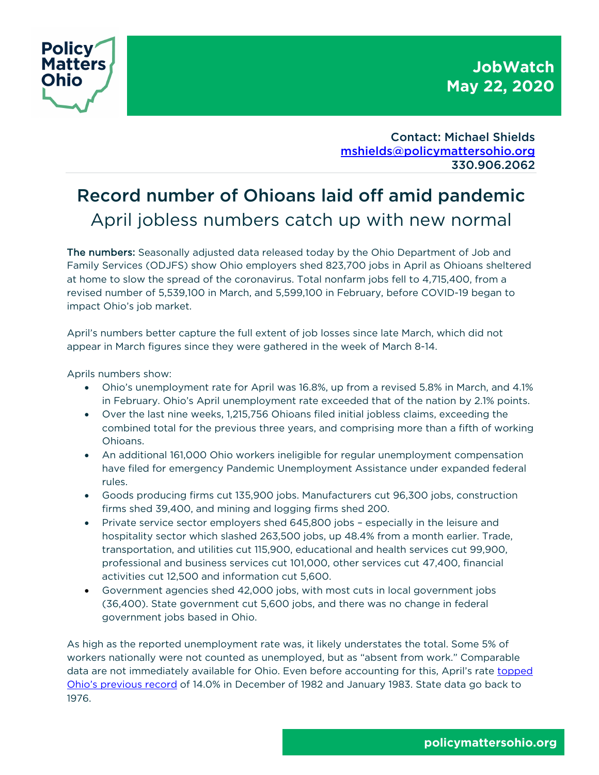



Contact: Michael Shields mshields@policymattersohio.org 330.906.2062

# Record number of Ohioans laid off amid pandemic April jobless numbers catch up with new normal

The numbers: Seasonally adjusted data released today by the Ohio Department of Job and Family Services (ODJFS) show Ohio employers shed 823,700 jobs in April as Ohioans sheltered at home to slow the spread of the coronavirus. Total nonfarm jobs fell to 4,715,400, from a revised number of 5,539,100 in March, and 5,599,100 in February, before COVID-19 began to impact Ohio's job market.

April's numbers better capture the full extent of job losses since late March, which did not appear in March figures since they were gathered in the week of March 8-14.

Aprils numbers show:

- Ohio's unemployment rate for April was 16.8%, up from a revised 5.8% in March, and 4.1% in February. Ohio's April unemployment rate exceeded that of the nation by 2.1% points.
- Over the last nine weeks, 1,215,756 Ohioans filed initial jobless claims, exceeding the combined total for the previous three years, and comprising more than a fifth of working Ohioans.
- An additional 161,000 Ohio workers ineligible for regular unemployment compensation have filed for emergency Pandemic Unemployment Assistance under expanded federal rules.
- Goods producing firms cut 135,900 jobs. Manufacturers cut 96,300 jobs, construction firms shed 39,400, and mining and logging firms shed 200.
- Private service sector employers shed 645,800 jobs especially in the leisure and hospitality sector which slashed 263,500 jobs, up 48.4% from a month earlier. Trade, transportation, and utilities cut 115,900, educational and health services cut 99,900, professional and business services cut 101,000, other services cut 47,400, financial activities cut 12,500 and information cut 5,600.
- Government agencies shed 42,000 jobs, with most cuts in local government jobs (36,400). State government cut 5,600 jobs, and there was no change in federal government jobs based in Ohio.

As high as the reported unemployment rate was, it likely understates the total. Some 5% of workers nationally were not counted as unemployed, but as "absent from work." Comparable data are not immediately available for Ohio. Even before accounting for this, April's rate topped Ohio's previous record of 14.0% in December of 1982 and January 1983. State data go back to 1976.